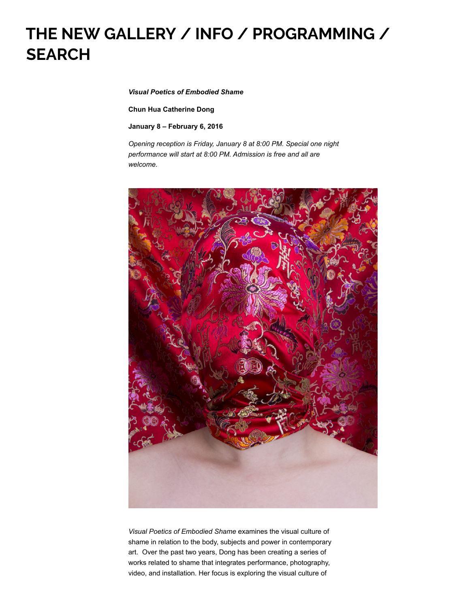## **THE NEW [GALLERY](http://www.thenewgallery.org/) / INFO / PROGRAMMING / SEARCH**

#### *Visual Poetics of Embodied Shame*

**Chun Hua Catherine Dong**

**January 8 – February 6, 2016**

*Opening reception is Friday, January 8 at 8:00 PM. Special one night performance will start at 8:00 PM. Admission is free and all are welcome.*



*Visual Poetics of Embodied Shame* examines the visual culture of shame in relation to the body, subjects and power in contemporary art. Over the past two years, Dong has been creating a series of works related to shame that integrates performance, photography, video, and installation. Her focus is exploring the visual culture of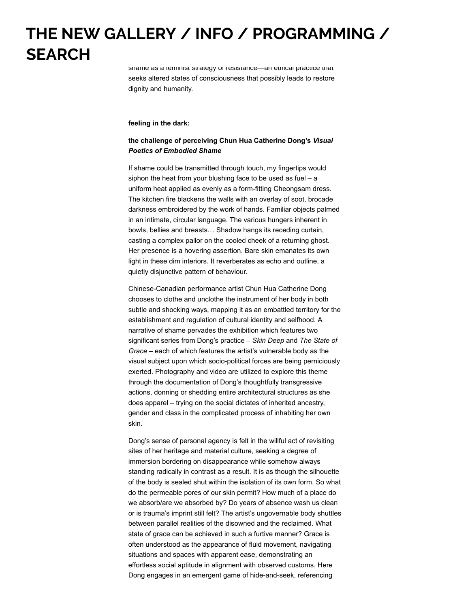## $\overline{\phantom{a}}$ shamed vilnerability in its personal and socio-political and socio-political and socio-political and socio-political and socio-political and socio-political and socio-political and socio-political and socio-pol dimensions, deconstructing the experience of shame through **THE NEW [GALLERY](http://www.thenewgallery.org/) / INFO / PROGRAMMING / SEARCH**

sname as a reminist strategy or resistance—an ethical practice that seeks altered states of consciousness that possibly leads to restore dignity and humanity.

#### **feeling in the dark:**

### **the challenge of perceiving Chun Hua Catherine Dong's** *Visual Poetics of Embodied Shame*

If shame could be transmitted through touch, my fingertips would siphon the heat from your blushing face to be used as fuel – a uniform heat applied as evenly as a form-fitting Cheongsam dress. The kitchen fire blackens the walls with an overlay of soot, brocade darkness embroidered by the work of hands. Familiar objects palmed in an intimate, circular language. The various hungers inherent in bowls, bellies and breasts… Shadow hangs its receding curtain, casting a complex pallor on the cooled cheek of a returning ghost. Her presence is a hovering assertion. Bare skin emanates its own light in these dim interiors. It reverberates as echo and outline, a quietly disjunctive pattern of behaviour.

Chinese-Canadian performance artist Chun Hua Catherine Dong chooses to clothe and unclothe the instrument of her body in both subtle and shocking ways, mapping it as an embattled territory for the establishment and regulation of cultural identity and selfhood. A narrative of shame pervades the exhibition which features two significant series from Dong's practice – *Skin Deep* and *The State of Grace* – each of which features the artist's vulnerable body as the visual subject upon which socio-political forces are being perniciously exerted. Photography and video are utilized to explore this theme through the documentation of Dong's thoughtfully transgressive actions, donning or shedding entire architectural structures as she does apparel – trying on the social dictates of inherited ancestry, gender and class in the complicated process of inhabiting her own skin.

Dong's sense of personal agency is felt in the willful act of revisiting sites of her heritage and material culture, seeking a degree of immersion bordering on disappearance while somehow always standing radically in contrast as a result. It is as though the silhouette of the body is sealed shut within the isolation of its own form. So what do the permeable pores of our skin permit? How much of a place do we absorb/are we absorbed by? Do years of absence wash us clean or is trauma's imprint still felt? The artist's ungovernable body shuttles between parallel realities of the disowned and the reclaimed. What state of grace can be achieved in such a furtive manner? Grace is often understood as the appearance of fluid movement, navigating situations and spaces with apparent ease, demonstrating an effortless social aptitude in alignment with observed customs. Here Dong engages in an emergent game of hide-and-seek, referencing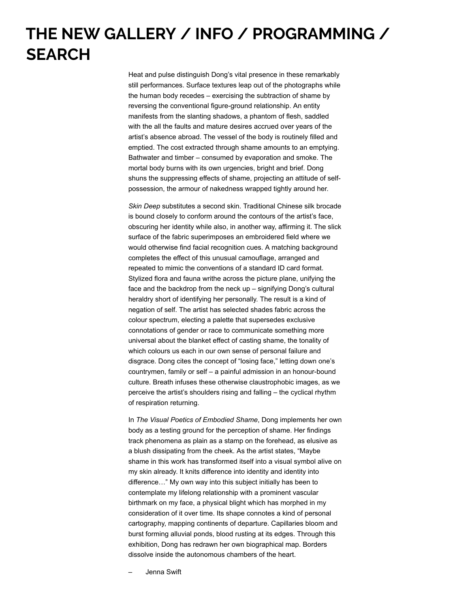### the etymological root of shame – meaning to cover. Concealment occurs in open rooms as the artist attempts to assimilate her adult **THE NEW [GALLERY](http://www.thenewgallery.org/) / INFO / PROGRAMMING / SEARCH**

Heat and pulse distinguish Dong's vital presence in these remarkably still performances. Surface textures leap out of the photographs while the human body recedes – exercising the subtraction of shame by reversing the conventional figure-ground relationship. An entity manifests from the slanting shadows, a phantom of flesh, saddled with the all the faults and mature desires accrued over years of the artist's absence abroad. The vessel of the body is routinely filled and emptied. The cost extracted through shame amounts to an emptying. Bathwater and timber – consumed by evaporation and smoke. The mortal body burns with its own urgencies, bright and brief. Dong shuns the suppressing effects of shame, projecting an attitude of selfpossession, the armour of nakedness wrapped tightly around her.

*Skin Deep* substitutes a second skin. Traditional Chinese silk brocade is bound closely to conform around the contours of the artist's face, obscuring her identity while also, in another way, affirming it. The slick surface of the fabric superimposes an embroidered field where we would otherwise find facial recognition cues. A matching background completes the effect of this unusual camouflage, arranged and repeated to mimic the conventions of a standard ID card format. Stylized flora and fauna writhe across the picture plane, unifying the face and the backdrop from the neck up – signifying Dong's cultural heraldry short of identifying her personally. The result is a kind of negation of self. The artist has selected shades fabric across the colour spectrum, electing a palette that supersedes exclusive connotations of gender or race to communicate something more universal about the blanket effect of casting shame, the tonality of which colours us each in our own sense of personal failure and disgrace. Dong cites the concept of "losing face," letting down one's countrymen, family or self – a painful admission in an honour-bound culture. Breath infuses these otherwise claustrophobic images, as we perceive the artist's shoulders rising and falling – the cyclical rhythm of respiration returning.

In *The Visual Poetics of Embodied Shame*, Dong implements her own body as a testing ground for the perception of shame. Her findings track phenomena as plain as a stamp on the forehead, as elusive as a blush dissipating from the cheek. As the artist states, "Maybe shame in this work has transformed itself into a visual symbol alive on my skin already. It knits difference into identity and identity into difference…" My own way into this subject initially has been to contemplate my lifelong relationship with a prominent vascular birthmark on my face, a physical blight which has morphed in my consideration of it over time. Its shape connotes a kind of personal cartography, mapping continents of departure. Capillaries bloom and burst forming alluvial ponds, blood rusting at its edges. Through this exhibition, Dong has redrawn her own biographical map. Borders dissolve inside the autonomous chambers of the heart.

– Jenna Swift